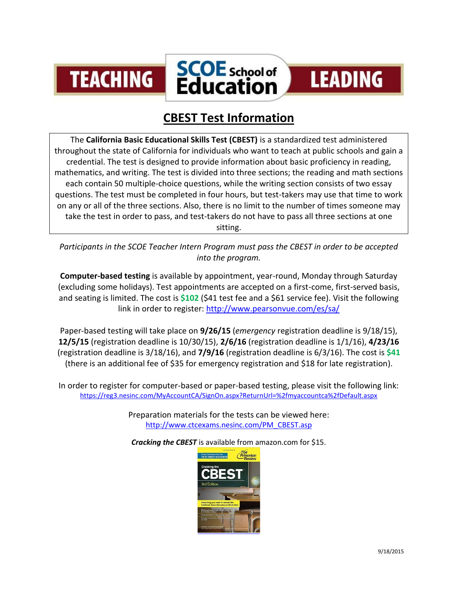



## **LEADING**

## **CBEST Test Information**

The **California Basic Educational Skills Test (CBEST)** is a [standardized test](https://en.wikipedia.org/wiki/Standardized_test) administered throughout the state of [California](https://en.wikipedia.org/wiki/California) for individuals who want to teach at public schools and gain a credential. The test is designed to provide information about basic proficiency in reading, mathematics, and writing. The test is divided into three sections; the reading and math sections each contain 50 multiple-choice questions, while the writing section consists of two essay questions. The test must be completed in four hours, but test-takers may use that time to work on any or all of the three sections. Also, there is no limit to the number of times someone may take the test in order to pass, and test-takers do not have to pass all three sections at one sitting.

*Participants in the SCOE Teacher Intern Program must pass the CBEST in order to be accepted into the program.*

**Computer-based testing** is available by appointment, year-round, Monday through Saturday (excluding some holidays). Test appointments are accepted on a first-come, first-served basis, and seating is limited. The cost is **\$102** (\$41 test fee and a \$61 service fee). Visit the following link in order to register:<http://www.pearsonvue.com/es/sa/>

Paper-based testing will take place on **9/26/15** (*emergency* registration deadline is 9/18/15), **12/5/15** (registration deadline is 10/30/15), **2/6/16** (registration deadline is 1/1/16), **4/23/16** (registration deadline is 3/18/16), and **7/9/16** (registration deadline is 6/3/16). The cost is **\$41** (there is an additional fee of \$35 for emergency registration and \$18 for late registration).

In order to register for computer-based or paper-based testing, please visit the following link: <https://reg3.nesinc.com/MyAccountCA/SignOn.aspx?ReturnUrl=%2fmyaccountca%2fDefault.aspx>

> Preparation materials for the tests can be viewed here: [http://www.ctcexams.nesinc.com/PM\\_CBEST.asp](http://www.ctcexams.nesinc.com/PM_CBEST.asp)

*Cracking the CBEST* is available from amazon.com for \$15.